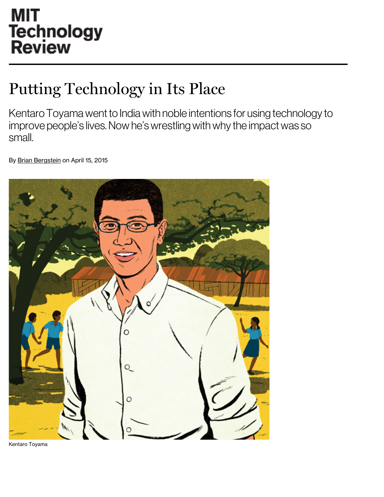# **MIT** Technology<br>Review

## Putting Technology in Its Place

Kentaro Toyama went to India with noble intentions for using technology to improve people's lives. Now he's wrestling with why the impact was so small.

By Brian [Bergstein](http://www.technologyreview.com/contributor/brian-bergstein/) on April 15, 2015



Kentaro Toyama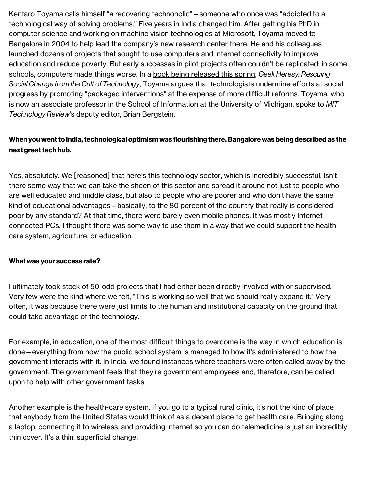Kentaro Toyama calls himself "a recovering technoholic"—someone who once was "addicted to a technological way of solving problems." Five years in India changed him. After getting his PhD in computer science and working on machine vision technologies at Microsoft, Toyama moved to Bangalore in 2004 to help lead the company's new research center there. He and his colleagues launched dozens of projects that sought to use computers and Internet connectivity to improve education and reduce poverty. But early successes in pilot projects often couldn't be replicated; in some schools, computers made things worse. In a book being [released](http://geekheresy.org/) this spring, Geek Heresy: Rescuing Social Change from the Cult of Technology, Toyama argues that technologists undermine efforts at social progress by promoting "packaged interventions" at the expense of more difficult reforms. Toyama, who is now an associate professor in the School of Information at the University of Michigan, spoke to MIT Technology Review's deputy editor, Brian Bergstein.

### When you went to India, technological optimism was flourishing there. Bangalore was being described as the next great tech hub.

Yes, absolutely. We [reasoned] that here's this technology sector, which is incredibly successful. Isn't there some way that we can take the sheen of this sector and spread it around not just to people who are well educated and middle class, but also to people who are poorer and who don't have the same kind of educational advantages—basically, to the 80 percent of the country that really is considered poor by any standard? At that time, there were barely even mobile phones. It was mostly Internetconnected PCs. I thought there was some way to use them in a way that we could support the healthcare system, agriculture, or education.

### What was your success rate?

I ultimately took stock of 50-odd projects that I had either been directly involved with or supervised. Very few were the kind where we felt, "This is working so well that we should really expand it." Very often, it was because there were just limits to the human and institutional capacity on the ground that could take advantage of the technology.

For example, in education, one of the most difficult things to overcome is the way in which education is done—everything from how the public school system is managed to how it's administered to how the government interacts with it. In India, we found instances where teachers were often called away by the government. The government feels that they're government employees and, therefore, can be called upon to help with other government tasks.

Another example is the health-care system. If you go to a typical rural clinic, it's not the kind of place that anybody from the United States would think of as a decent place to get health care. Bringing along a laptop, connecting it to wireless, and providing Internet so you can do telemedicine is just an incredibly thin cover. It's a thin, superficial change.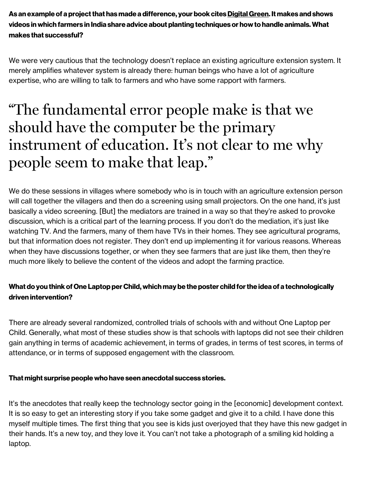As an example of a project that has made a difference, your book cites [Digital](http://www2.technologyreview.com/tr35/profile.aspx?TRID=969) Green. It makes and shows videos inwhich farmers in India share advice about planting techniques or howto handle animals.What makes that successful?

We were very cautious that the technology doesn't replace an existing agriculture extension system. It merely amplifies whatever system is already there: human beings who have a lot of agriculture expertise, who are willing to talk to farmers and who have some rapport with farmers.

### "The fundamental error people make is that we should have the computer be the primary instrument of education. It' s not clear to me why people seem to make that leap."

We do these sessions in villages where somebody who is in touch with an agriculture extension person will call together the villagers and then do a screening using small projectors. On the one hand, it's just basically a video screening. [But] the mediators are trained in a way so that they're asked to provoke discussion, which is a critical part of the learning process. If you don't do the mediation, it's just like watching TV. And the farmers, many of them have TVs in their homes. They see agricultural programs, but that information does not register. They don't end up implementing it for various reasons. Whereas when they have discussions together, or when they see farmers that are just like them, then they're much more likely to believe the content of the videos and adopt the farming practice.

### What do you think of One Laptop per Child, which may be the poster child for the idea of a technologically driven intervention?

There are already several randomized, controlled trials of schools with and without One Laptop per Child. Generally, what most of these studies show is that schools with laptops did not see their children gain anything in terms of academic achievement, in terms of grades, in terms of test scores, in terms of attendance, or in terms of supposed engagement with the classroom.

### That might surprise peoplewho have seen anecdotal success stories.

It's the anecdotes that really keep the technology sector going in the [economic] development context. It is so easy to get an interesting story if you take some gadget and give it to a child. I have done this myself multiple times. The first thing that you see is kids just overjoyed that they have this new gadget in their hands. It's a new toy, and they love it. You can't not take a photograph of a smiling kid holding a laptop.